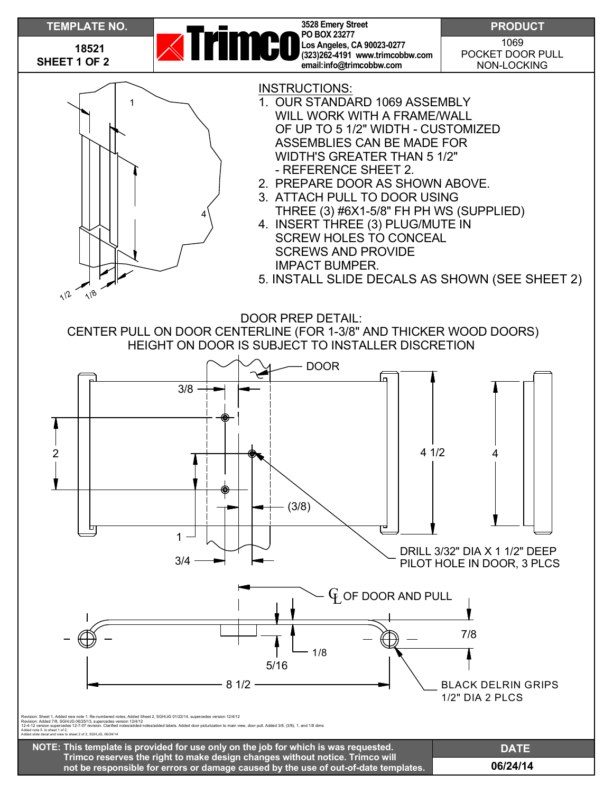